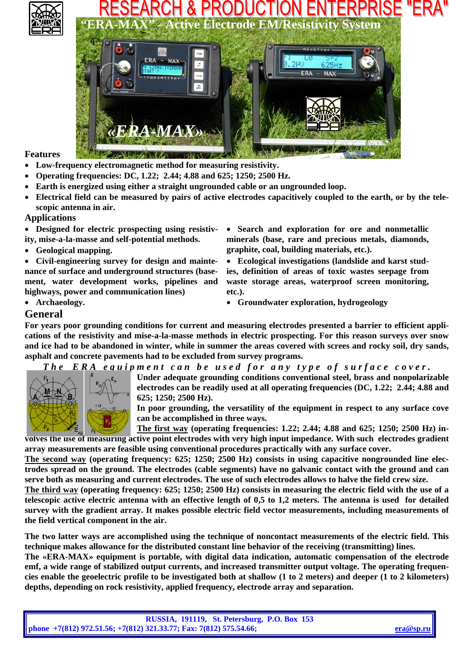

# & PRODUCTION **MAX" - Active Electrode EM/Resistivity System**



**Features** 

- **Low-frequency electromagnetic method for measuring resistivity.**
- **Operating frequencies: DC, 1.22; 2.44; 4.88 and 625; 1250; 2500 Hz.**
- **Earth is energized using either a straight ungrounded cable or an ungrounded loop.**
- **Electrical field can be measured by pairs of active electrodes capacitively coupled to the earth, or by the telescopic antenna in air.**

#### **Applications**

• **Designed for electric prospecting using resistivity, mise-a-la-masse and self-potential methods.** 

• **Geological mapping.** 

• **Civil-engineering survey for design and maintenance of surface and underground structures (basement, water development works, pipelines and highways, power and communication lines)** 

- **Search and exploration for ore and nonmetallic minerals (base, rare and precious metals, diamonds, graphite, coal, building materials, etc.).**
- **Ecological investigations (landslide and karst studies, definition of areas of toxic wastes seepage from waste storage areas, waterproof screen monitoring, etc.).**
- **Archaeology. Groundwater exploration, hydrogeology**

### **General**

**For years poor grounding conditions for current and measuring electrodes presented a barrier to efficient applications of the resistivity and mise-a-la-masse methods in electric prospecting. For this reason surveys over snow and ice had to be abandoned in winter, while in summer the areas covered with screes and rocky soil, dry sands, asphalt and concrete pavements had to be excluded from survey programs.** 

*The ERA equipment can be used for any type of surface cover.* 



**Under adequate grounding conditions conventional steel, brass and nonpolarizable electrodes can be readily used at all operating frequencies (DC, 1.22; 2.44; 4.88 and 625; 1250; 2500 Hz).** 

**In poor grounding, the versatility of the equipment in respect to any surface cove can be accomplished in three ways.** 

**The first way (operating frequencies: 1.22; 2.44; 4.88 and 625; 1250; 2500 Hz) involves the use of measuring active point electrodes with very high input impedance. With such electrodes gradient array measurements are feasible using conventional procedures practically with any surface cover.** 

**The second way (operating frequency: 625; 1250; 2500 Hz) consists in using capacitive nongrounded line electrodes spread on the ground. The electrodes (cable segments) have no galvanic contact with the ground and can serve both as measuring and current electrodes. The use of such electrodes allows to halve the field crew size.** 

**The third way (operating frequency: 625; 1250; 2500 Hz) consists in measuring the electric field with the use of a telescopic active electric antenna with an effective length of 0,5 to 1,2 meters. The antenna is used for detailed survey with the gradient array. It makes possible electric field vector measurements, including measurements of the field vertical component in the air.** 

**The two latter ways are accomplished using the technique of noncontact measurements of the electric field. This technique makes allowance for the distributed constant line behavior of the receiving (transmitting) lines.** 

**The «ERA-MAX» equipment is portable, with digital data indication, automatic compensation of the electrode emf, a wide range of stabilized output currents, and increased transmitter output voltage. The operating frequencies enable the geoelectric profile to be investigated both at shallow (1 to 2 meters) and deeper (1 to 2 kilometers) depths, depending on rock resistivity, applied frequency, electrode array and separation.** 

| <b>RUSSIA, 191119, St. Petersburg, P.O. Box 153</b>                |           |
|--------------------------------------------------------------------|-----------|
| phone +7(812) 972.51.56; +7(812) 321.33.77; Fax: 7(812) 575.54.66; | era@sp.ru |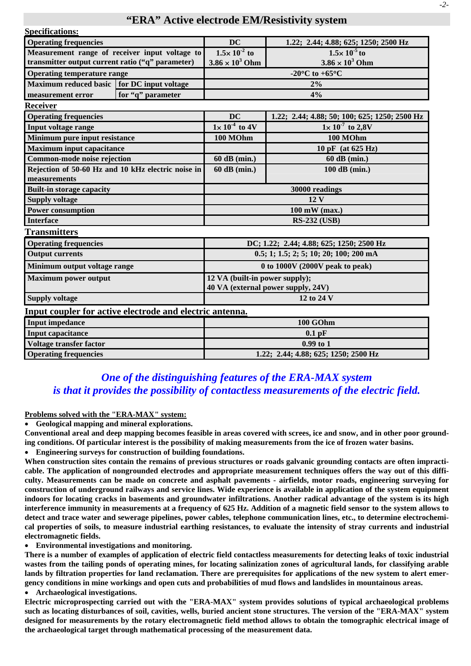### **"ERA" Active electrode EM/Resistivity system**

| <b>Specifications:</b>                                   |                   |                                          |                                               |  |
|----------------------------------------------------------|-------------------|------------------------------------------|-----------------------------------------------|--|
| <b>Operating frequencies</b>                             |                   | <b>DC</b>                                | 1.22; 2.44; 4.88; 625; 1250; 2500 Hz          |  |
| Measurement range of receiver input voltage to           |                   | $1.5 \times 10^{-2}$ to                  | $1.5 \times 10^{-5}$ to                       |  |
| transmitter output current ratio ("q" parameter)         |                   | $3.86 \times 10^3$ Ohm                   | $3.86 \times 10^3$ Ohm                        |  |
| <b>Operating temperature range</b>                       |                   | -20 $^{\circ}$ C to +65 $^{\circ}$ C     |                                               |  |
| Maximum reduced basic for DC input voltage               |                   | $2\%$<br>4%                              |                                               |  |
| measurement error                                        | for "q" parameter |                                          |                                               |  |
| <b>Receiver</b>                                          |                   |                                          |                                               |  |
| <b>Operating frequencies</b>                             |                   | <b>DC</b>                                | 1.22; 2.44; 4.88; 50; 100; 625; 1250; 2500 Hz |  |
| Input voltage range                                      |                   | $1 \times 10^{-4}$ to 4V                 | $1 \times 10^{-7}$ to 2,8V                    |  |
| Minimum pure input resistance                            |                   | 100 MOhm                                 | 100 MOhm                                      |  |
| <b>Maximum input capacitance</b>                         |                   |                                          | 10 pF (at 625 Hz)                             |  |
| Common-mode noise rejection                              |                   | 60 dB (min.)                             | 60 dB (min.)                                  |  |
| Rejection of 50-60 Hz and 10 kHz electric noise in       |                   | 60 dB (min.)                             | 100 dB (min.)                                 |  |
| measurements                                             |                   |                                          |                                               |  |
| <b>Built-in storage capacity</b>                         |                   | 30000 readings                           |                                               |  |
| <b>Supply voltage</b>                                    |                   | 12V                                      |                                               |  |
| <b>Power consumption</b>                                 |                   | $100$ mW (max.)                          |                                               |  |
| <b>Interface</b>                                         |                   | <b>RS-232 (USB)</b>                      |                                               |  |
| <b>Transmitters</b>                                      |                   |                                          |                                               |  |
| <b>Operating frequencies</b>                             |                   | DC; 1.22; 2.44; 4.88; 625; 1250; 2500 Hz |                                               |  |
| <b>Output currents</b>                                   |                   | 0.5; 1; 1.5; 2; 5; 10; 20; 100; 200 mA   |                                               |  |
| Minimum output voltage range                             |                   | 0 to $1000V$ (2000V peak to peak)        |                                               |  |
| <b>Maximum power output</b>                              |                   | 12 VA (built-in power supply);           |                                               |  |
|                                                          |                   | 40 VA (external power supply, 24V)       |                                               |  |
| <b>Supply voltage</b>                                    |                   | 12 to 24 V                               |                                               |  |
| Input coupler for active electrode and electric antenna. |                   |                                          |                                               |  |
| <b>Input impedance</b>                                   |                   | 100 GOhm                                 |                                               |  |
| <b>Input capacitance</b>                                 |                   | $0.1$ pF                                 |                                               |  |
| Voltage transfer factor                                  |                   | $0.99$ to 1                              |                                               |  |
| <b>Operating frequencies</b>                             |                   | 1.22; 2.44; 4.88; 625; 1250; 2500 Hz     |                                               |  |

## *One of the distinguishing features of the ERA-MAX system is that it provides the possibility of contactless measurements of the electric field.*

**Problems solved with the "ERA-MAX" system:**

• **Geological mapping and mineral explorations.** 

**Conventional areal and deep mapping becomes feasible in areas covered with screes, ice and snow, and in other poor grounding conditions. Of particular interest is the possibility of making measurements from the ice of frozen water basins.** 

• **Engineering surveys for construction of building foundations.** 

When construction sites contain the remains of previous structures or roads galvanic grounding contacts are often impracti**cable. The application of nongrounded electrodes and appropriate measurement techniques offers the way out of this difficulty. Measurements can be made on concrete and asphalt pavements - airfields, motor roads, engineering surveying for construction of underground railways and service lines. Wide experience is available in application of the system equipment indoors for locating cracks in basements and groundwater infiltrations. Another radical advantage of the system is its high interference immunity in measurements at a frequency of 625 Hz. Addition of a magnetic field sensor to the system allows to detect and trace water and sewerage pipelines, power cables, telephone communication lines, etc., to determine electrochemical properties of soils, to measure industrial earthing resistances, to evaluate the intensity of stray currents and industrial electromagnetic fields.** 

• **Environmental investigations and monitoring.** 

**There is a number of examples of application of electric field contactless measurements for detecting leaks of toxic industrial wastes from the tailing ponds of operating mines, for locating salinization zones of agricultural lands, for classifying arable lands by filtration properties for land reclamation. There are prerequisites for applications of the new system to alert emergency conditions in mine workings and open cuts and probabilities of mud flows and landslides in mountainous areas.** 

• **Archaeological investigations.** 

**Electric microprospecting carried out with the "ERA-MAX" system provides solutions of typical archaeological problems such as locating disturbances of soil, cavities, wells, buried ancient stone structures. The version of the "ERA-MAX" system designed for measurements by the rotary electromagnetic field method allows to obtain the tomographic electrical image of the archaeological target through mathematical processing of the measurement data.**